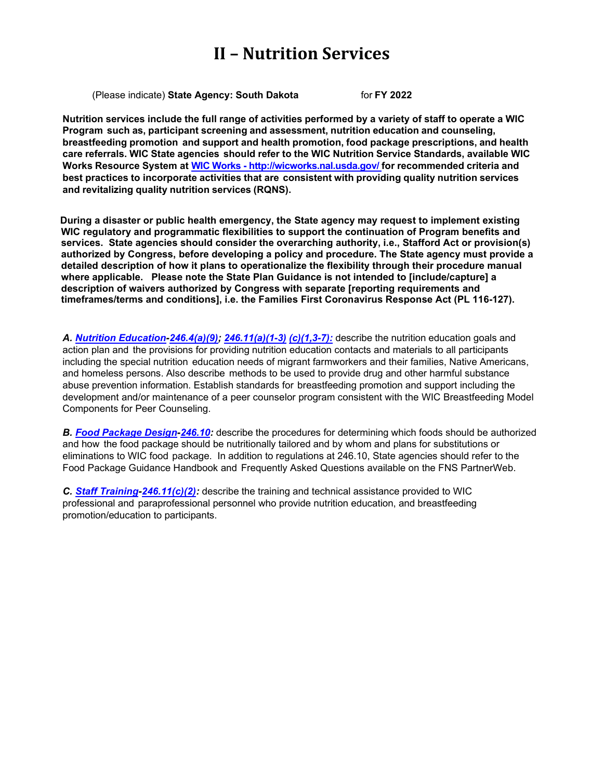(Please indicate) **State Agency: South Dakota** for **FY 2022**

Nutrition services include the full range of activities performed by a variety of staff to operate a WIC **Program such as, participant screening and assessment, nutrition education and counseling, breastfeeding promotion and support and health promotion, food package prescriptions, and health care referrals. WIC State agencies should refer to the WIC Nutrition Service Standards, available WIC Works Resource System at WIC Works - <http://wicworks.nal.usda.gov/> for recommended criteria and best practices to incorporate activities that are consistent with providing quality nutrition services and revitalizing quality nutrition services (RQNS).**

**During a disaster or public health emergency, the State agency may request to implement existing WIC regulatory and programmatic flexibilities to support the continuation of Program benefits and services. State agencies should consider the overarching authority, i.e., Stafford Act or provision(s) authorized by Congress, before developing a policy and procedure. The State agency must provide a detailed description of how it plans to operationalize the flexibility through their procedure manual where applicable. Please note the State Plan Guidance is not intended to [include/capture] a description of waivers authorized by Congress with separate [reporting requirements and timeframes/terms and conditions], i.e. the Families First Coronavirus Response Act (PL 116-127).**

*A. [Nutrition Education-](#page-1-0)[246.4\(a\)\(9\);](https://ecfr.federalregister.gov/current/title-7/subtitle-B/chapter-II/subchapter-A/part-246#p-246.4(a)(9)) [246.11\(a\)\(1-3\)](https://ecfr.federalregister.gov/current/title-7/subtitle-B/chapter-II/subchapter-A/part-246#p-246.11(a)) [\(c\)\(1,3-7\):](https://ecfr.federalregister.gov/current/title-7/subtitle-B/chapter-II/subchapter-A/part-246#p-246.11(c))* describe the nutrition education goals and action plan and the provisions for providing nutrition education contacts and materials to all participants including the special nutrition education needs of migrant farmworkers and their families, Native Americans, and homeless persons. Also describe methods to be used to provide drug and other harmful substance abuse prevention information. Establish standards for breastfeeding promotion and support including the development and/or maintenance of a peer counselor program consistent with the WIC Breastfeeding Model Components for Peer Counseling.

*B. Food [Package](#page-11-0) Design[-246.10:](https://ecfr.federalregister.gov/current/title-7/subtitle-B/chapter-II/subchapter-A/part-246#p-246.10(a))* describe the procedures for determining which foods should be authorized and how the food package should be nutritionally tailored and by whom and plans for substitutions or eliminations to WIC food package. In addition to regulations at 246.10, State agencies should refer to the Food Package Guidance Handbook and Frequently Asked Questions available on the FNS PartnerWeb.

*C. Staff [Training-](#page-15-0)[246.11\(c\)\(2\):](https://ecfr.federalregister.gov/current/title-7/subtitle-B/chapter-II/subchapter-A/part-246#p-246.11(c)(2))* describe the training and technical assistance provided to WIC professional and paraprofessional personnel who provide nutrition education, and breastfeeding promotion/education to participants.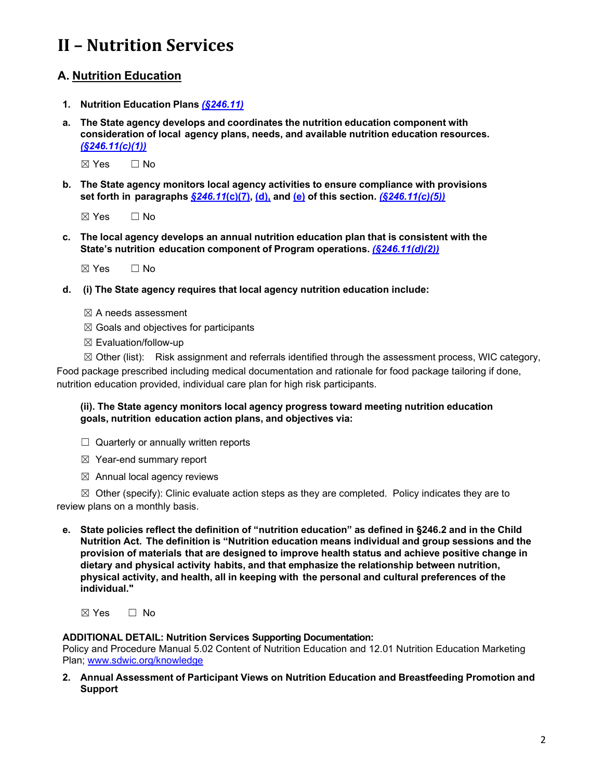## <span id="page-1-0"></span>**A. Nutrition Education**

- **1. Nutrition Education Plans** *[\(§246.11\)](https://ecfr.federalregister.gov/current/title-7/subtitle-B/chapter-II/subchapter-A/part-246#p-246.11(a))*
- **a. The State agency develops and coordinates the nutrition education component with consideration of local agency plans, needs, and available nutrition education resources.** *[\(§246.11\(c\)\(1\)\)](https://ecfr.federalregister.gov/current/title-7/subtitle-B/chapter-II/subchapter-A/part-246#p-246.11(c)(1))*

☒ Yes ☐ No

**b. The State agency monitors local agency activities to ensure compliance with provisions set forth in paragraphs** *[§246.11](https://ecfr.federalregister.gov/current/title-7/subtitle-B/chapter-II/subchapter-A/part-246#p-246.11(c)(7))***(c)(7), [\(d\),](https://ecfr.federalregister.gov/current/title-7/subtitle-B/chapter-II/subchapter-A/part-246#p-246.11(d)) and [\(e\)](https://ecfr.federalregister.gov/current/title-7/subtitle-B/chapter-II/subchapter-A/part-246#p-246.11(e)) of this section.** *[\(§246.11\(c\)\(5\)\)](https://ecfr.federalregister.gov/current/title-7/subtitle-B/chapter-II/subchapter-A/part-246#p-246.11(c)(5))*

 $\boxtimes$  Yes  $\Box$  No

**c. The local agency develops an annual nutrition education plan that is consistent with the State's nutrition education component of Program operations.** *[\(§246.11\(d\)\(2\)\)](https://ecfr.federalregister.gov/current/title-7/subtitle-B/chapter-II/subchapter-A/part-246#p-246.11(d)(2))*

 $\boxtimes$  Yes  $\Box$  No

- **d. (i) The State agency requires that local agency nutrition education include:**
	- $<sup>π</sup>$  A needs assessment</sup>
	- $\boxtimes$  Goals and objectives for participants
	- ☒ Evaluation/follow-up

☒ Other (list): Risk assignment and referrals identified through the assessment process, WIC category, Food package prescribed including medical documentation and rationale for food package tailoring if done, nutrition education provided, individual care plan for high risk participants.

#### **(ii). The State agency monitors local agency progress toward meeting nutrition education goals, nutrition education action plans, and objectives via:**

- $\Box$  Quarterly or annually written reports
- ☒ Year-end summary report
- $\boxtimes$  Annual local agency reviews

 $\boxtimes$  Other (specify): Clinic evaluate action steps as they are completed. Policy indicates they are to review plans on a monthly basis.

**e. State policies reflect the definition of "nutrition education" as defined in §246.2 and in the Child Nutrition Act. The definition is "Nutrition education means individual and group sessions and the provision of materials that are designed to improve health status and achieve positive change in dietary and physical activity habits, and that emphasize the relationship between nutrition, physical activity, and health, all in keeping with the personal and cultural preferences of the individual."**

☒ Yes ☐ No

#### **ADDITIONAL DETAIL: Nutrition Services Supporting Documentation:**

Policy and Procedure Manual 5.02 Content of Nutrition Education and 12.01 Nutrition Education Marketing Plan; [www.sdwic.org/knowledge](http://www.sdwic.org/knowledge)

**2. Annual Assessment of Participant Views on Nutrition Education and Breastfeeding Promotion and Support**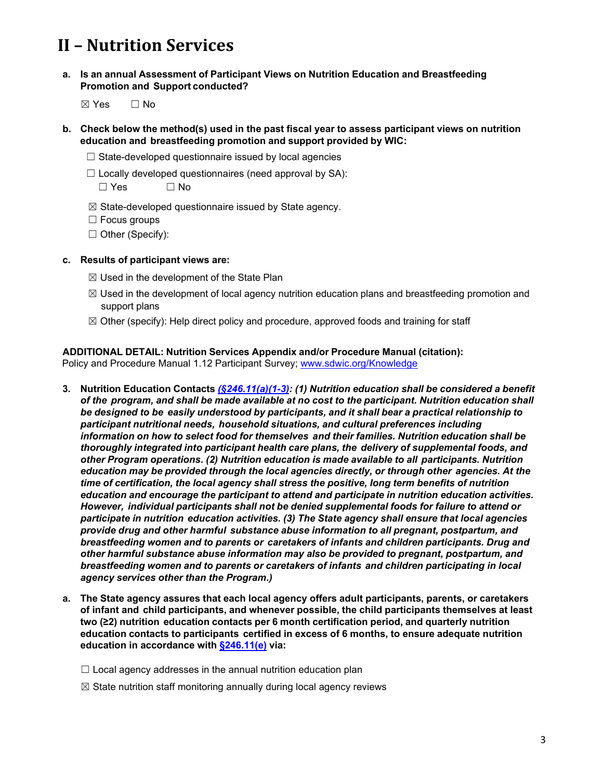- **a. Is an annual Assessment of Participant Views on Nutrition Education and Breastfeeding Promotion and Support conducted?**
	- ☒ Yes ☐ No
- **b. Check below the method(s) used in the past fiscal year to assess participant views on nutrition education and breastfeeding promotion and support provided by WIC:**
	- $\Box$  State-developed questionnaire issued by local agencies
	- $\Box$  Locally developed questionnaires (need approval by SA):
		- ☐ Yes ☐ No
	- $\boxtimes$  State-developed questionnaire issued by State agency.
	- ☐ Focus groups
	- ☐ Other (Specify):

#### **c. Results of participant views are:**

- $\boxtimes$  Used in the development of the State Plan
- $\boxtimes$  Used in the development of local agency nutrition education plans and breastfeeding promotion and support plans
- $\boxtimes$  Other (specify): Help direct policy and procedure, approved foods and training for staff

#### **ADDITIONAL DETAIL: Nutrition Services Appendix and/or Procedure Manual (citation):**

Policy and Procedure Manual 1.12 Participant Survey; [www.sdwic.org/Knowledge](http://www.sdwic.org/Knowledge)

- **3. Nutrition Education Contacts** *[\(§246.11\(a\)\(1-3\):](https://ecfr.federalregister.gov/current/title-7/subtitle-B/chapter-II/subchapter-A/part-246#p-246.11(a)) (1) Nutrition education shall be considered a benefit of the program, and shall be made available at no cost to the participant. Nutrition education shall be designed to be easily understood by participants, and it shall bear a practical relationship to participant nutritional needs, household situations, and cultural preferences including information on how to select food for themselves and their families. Nutrition education shall be thoroughly integrated into participant health care plans, the delivery of supplemental foods, and other Program operations. (2) Nutrition education is made available to all participants. Nutrition education may be provided through the local agencies directly, or through other agencies. At the time of certification, the local agency shall stress the positive, long term benefits of nutrition education and encourage the participant to attend and participate in nutrition education activities. However, individual participants shall not be denied supplemental foods for failure to attend or participate in nutrition education activities. (3) The State agency shall ensure that local agencies provide drug and other harmful substance abuse information to all pregnant, postpartum, and breastfeeding women and to parents or caretakers of infants and children participants. Drug and other harmful substance abuse information may also be provided to pregnant, postpartum, and breastfeeding women and to parents or caretakers of infants and children participating in local agency services other than the Program.)*
- **a. The State agency assures that each local agency offers adult participants, parents, or caretakers of infant and child participants, and whenever possible, the child participants themselves at least two (≥2) nutrition education contacts per 6 month certification period, and quarterly nutrition education contacts to participants certified in excess of 6 months, to ensure adequate nutrition education in accordance with [§246.11\(e\)](https://ecfr.federalregister.gov/current/title-7/subtitle-B/chapter-II/subchapter-A/part-246#p-246.11(e)) via:**
	- $\Box$  Local agency addresses in the annual nutrition education plan
	- $\boxtimes$  State nutrition staff monitoring annually during local agency reviews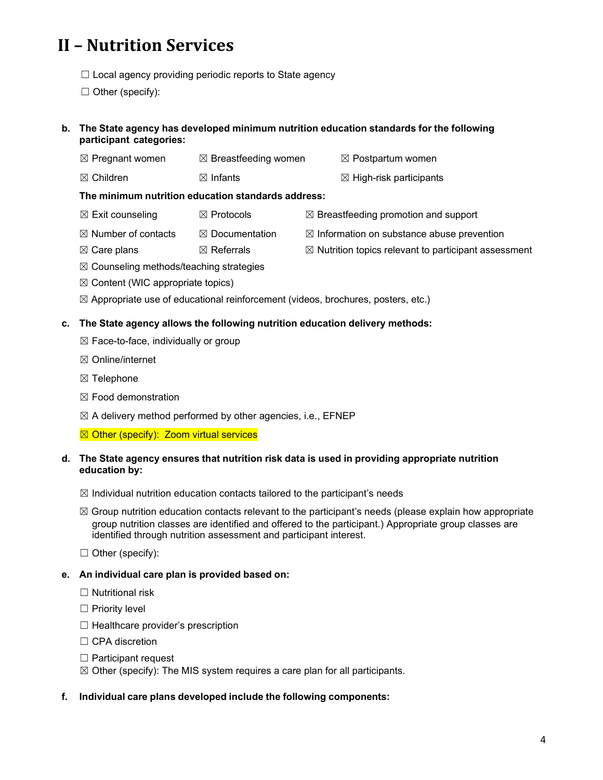$\Box$  Local agency providing periodic reports to State agency

 $\Box$  Other (specify):

### **b. The State agency has developed minimum nutrition education standards for the following participant categories:**

- $\boxtimes$  Pregnant women  $\boxtimes$  Breastfeeding women  $\boxtimes$  Postpartum women
- $\boxtimes$  Children  $\boxtimes$  Infants  $\boxtimes$  High-risk participants
- 

## **The minimum nutrition education standards address:**

- $\boxtimes$  Exit counseling  $\boxtimes$  Protocols  $\boxtimes$  Breastfeeding promotion and support
- $\boxtimes$  Number of contacts  $\boxtimes$  Documentation  $\boxtimes$  Information on substance abuse prevention
	-
- $\boxtimes$  Care plans  $\boxtimes$   $\boxtimes$  Referrals  $\boxtimes$  Nutrition topics relevant to participant assessment
- $\boxtimes$  Counseling methods/teaching strategies
- $\boxtimes$  Content (WIC appropriate topics)
- $\boxtimes$  Appropriate use of educational reinforcement (videos, brochures, posters, etc.)

## **c. The State agency allows the following nutrition education delivery methods:**

- ☒ Face-to-face, individually or group
- ☒ Online/internet
- ☒ Telephone
- ☒ Food demonstration
- $\boxtimes$  A delivery method performed by other agencies, i.e., EFNEP
- $\boxtimes$  Other (specify): Zoom virtual services

#### **d. The State agency ensures that nutrition risk data is used in providing appropriate nutrition education by:**

- $\boxtimes$  Individual nutrition education contacts tailored to the participant's needs
- $\boxtimes$  Group nutrition education contacts relevant to the participant's needs (please explain how appropriate group nutrition classes are identified and offered to the participant.) Appropriate group classes are identified through nutrition assessment and participant interest.

 $\Box$  Other (specify):

### **e. An individual care plan is provided based on:**

- $\Box$  Nutritional risk
- □ Priority level
- ☐ Healthcare provider's prescription
- □ CPA discretion
- ☐ Participant request
- $\boxtimes$  Other (specify): The MIS system requires a care plan for all participants.

### **f. Individual care plans developed include the following components:**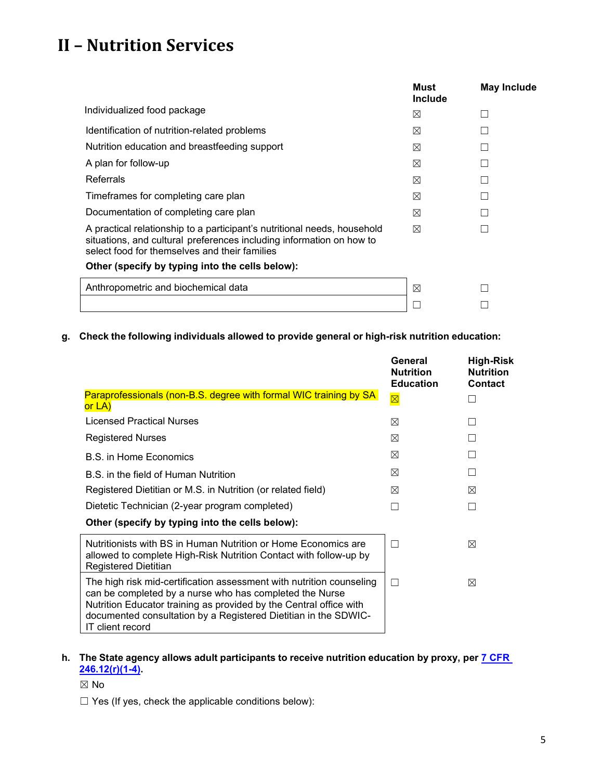|                                                                                                                                                                                                   | Must<br>Include | <b>May Include</b> |
|---------------------------------------------------------------------------------------------------------------------------------------------------------------------------------------------------|-----------------|--------------------|
| Individualized food package                                                                                                                                                                       | ⊠               |                    |
| Identification of nutrition-related problems                                                                                                                                                      | ⊠               |                    |
| Nutrition education and breastfeeding support                                                                                                                                                     | ⊠               |                    |
| A plan for follow-up                                                                                                                                                                              | ⊠               |                    |
| <b>Referrals</b>                                                                                                                                                                                  | ⊠               |                    |
| Timeframes for completing care plan                                                                                                                                                               | ⊠               |                    |
| Documentation of completing care plan                                                                                                                                                             | ⊠               |                    |
| A practical relationship to a participant's nutritional needs, household<br>situations, and cultural preferences including information on how to<br>select food for themselves and their families | ⊠               |                    |
| Other (specify by typing into the cells below):                                                                                                                                                   |                 |                    |
| Anthropometric and biochemical data                                                                                                                                                               | ⊠               |                    |
|                                                                                                                                                                                                   |                 |                    |

**g. Check the following individuals allowed to provide general or high-risk nutrition education:**

|                                                                                                                                                                                                                                                                                              | General<br><b>Nutrition</b><br><b>Education</b> | <b>High-Risk</b><br><b>Nutrition</b><br><b>Contact</b> |
|----------------------------------------------------------------------------------------------------------------------------------------------------------------------------------------------------------------------------------------------------------------------------------------------|-------------------------------------------------|--------------------------------------------------------|
| <b>Paraprofessionals (non-B.S. degree with formal WIC training by SA)</b><br>or LA)                                                                                                                                                                                                          | $\overline{\boxtimes}$                          |                                                        |
| Licensed Practical Nurses                                                                                                                                                                                                                                                                    | ⊠                                               |                                                        |
| <b>Registered Nurses</b>                                                                                                                                                                                                                                                                     | ⊠                                               |                                                        |
| B.S. in Home Economics                                                                                                                                                                                                                                                                       | ⊠                                               |                                                        |
| B.S. in the field of Human Nutrition                                                                                                                                                                                                                                                         | ⊠                                               |                                                        |
| Registered Dietitian or M.S. in Nutrition (or related field)                                                                                                                                                                                                                                 | ⊠                                               | ⊠                                                      |
| Dietetic Technician (2-year program completed)                                                                                                                                                                                                                                               | Г                                               | $\mathsf{L}$                                           |
| Other (specify by typing into the cells below):                                                                                                                                                                                                                                              |                                                 |                                                        |
| Nutritionists with BS in Human Nutrition or Home Economics are<br>allowed to complete High-Risk Nutrition Contact with follow-up by<br><b>Registered Dietitian</b>                                                                                                                           | П                                               | ⊠                                                      |
| The high risk mid-certification assessment with nutrition counseling<br>can be completed by a nurse who has completed the Nurse<br>Nutrition Educator training as provided by the Central office with<br>documented consultation by a Registered Dietitian in the SDWIC-<br>IT client record | П                                               | ⊠                                                      |

## **h. The State agency allows adult participants to receive nutrition education by proxy, per [7 CFR](https://ecfr.federalregister.gov/current/title-7/subtitle-B/chapter-II/subchapter-A/part-246#p-246.12(r))  [246.12\(r\)\(1-4\).](https://ecfr.federalregister.gov/current/title-7/subtitle-B/chapter-II/subchapter-A/part-246#p-246.12(r))**

☒ No

☐ Yes (If yes, check the applicable conditions below):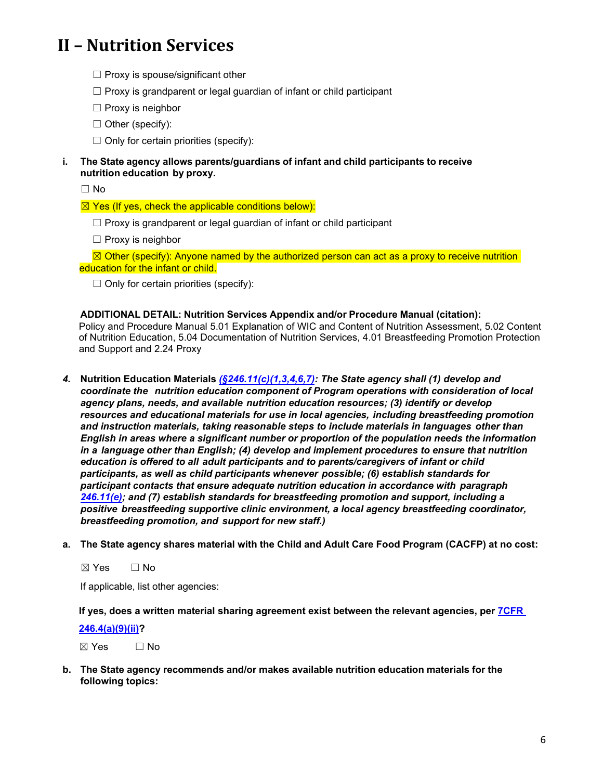- $\Box$  Proxy is spouse/significant other
- $\Box$  Proxy is grandparent or legal guardian of infant or child participant
- ☐ Proxy is neighbor
- $\Box$  Other (specify):
- $\Box$  Only for certain priorities (specify):
- **i. The State agency allows parents/guardians of infant and child participants to receive nutrition education by proxy.**

☐ No

- $\boxtimes$  Yes (If yes, check the applicable conditions below):
	- $\Box$  Proxy is grandparent or legal guardian of infant or child participant
	- ☐ Proxy is neighbor

 $\boxtimes$  Other (specify): Anyone named by the authorized person can act as a proxy to receive nutrition education for the infant or child.

 $\Box$  Only for certain priorities (specify):

**ADDITIONAL DETAIL: Nutrition Services Appendix and/or Procedure Manual (citation):** Policy and Procedure Manual 5.01 Explanation of WIC and Content of Nutrition Assessment, 5.02 Content of Nutrition Education, 5.04 Documentation of Nutrition Services, 4.01 Breastfeeding Promotion Protection and Support and 2.24 Proxy

- *4.* **Nutrition Education Materials** *[\(§246.11\(c\)\(1,3,4,6,7\):](https://ecfr.federalregister.gov/current/title-7/subtitle-B/chapter-II/subchapter-A/part-246#p-246.11(c)) The State agency shall (1) develop and coordinate the nutrition education component of Program operations with consideration of local agency plans, needs, and available nutrition education resources; (3) identify or develop resources and educational materials for use in local agencies, including breastfeeding promotion and instruction materials, taking reasonable steps to include materials in languages other than English in areas where a significant number or proportion of the population needs the information in a language other than English; (4) develop and implement procedures to ensure that nutrition education is offered to all adult participants and to parents/caregivers of infant or child participants, as well as child participants whenever possible; (6) establish standards for participant contacts that ensure adequate nutrition education in accordance with paragraph [246.11\(e\);](https://ecfr.federalregister.gov/current/title-7/subtitle-B/chapter-II/subchapter-A/part-246#p-246.11(e)) and (7) establish standards for breastfeeding promotion and support, including a positive breastfeeding supportive clinic environment, a local agency breastfeeding coordinator, breastfeeding promotion, and support for new staff.)*
- **a. The State agency shares material with the Child and Adult Care Food Program (CACFP) at no cost:**

#### ☒ Yes ☐ No

If applicable, list other agencies:

**If yes, does a written material sharing agreement exist between the relevant agencies, per [7CFR](https://ecfr.federalregister.gov/current/title-7/subtitle-B/chapter-II/subchapter-A/part-246#p-246.4(a)(9)(ii))**

#### **[246.4\(a\)\(9\)\(ii\)?](https://ecfr.federalregister.gov/current/title-7/subtitle-B/chapter-II/subchapter-A/part-246#p-246.4(a)(9)(ii))**

 $\boxtimes$  Yes  $\Box$  No

**b. The State agency recommends and/or makes available nutrition education materials for the following topics:**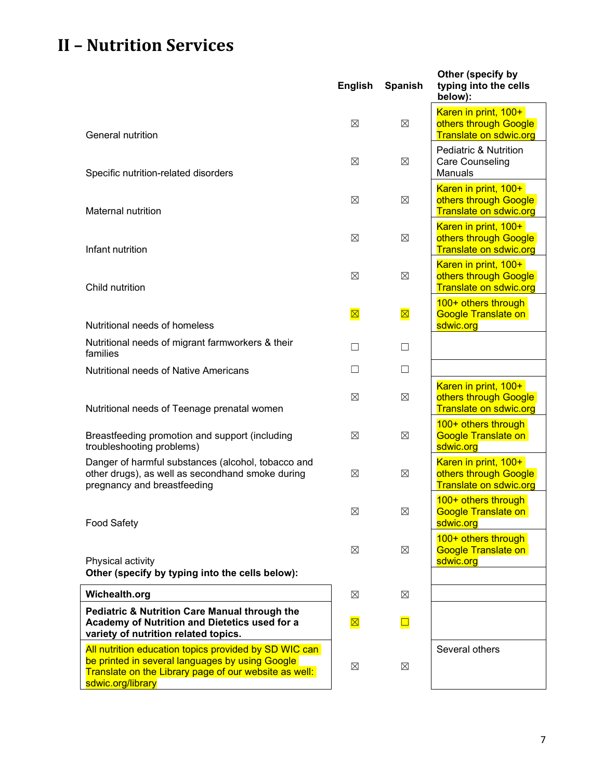|                                                                                                                                                                                        | <b>English</b> | <b>Spanish</b> | Other (specify by<br>typing into the cells<br>below):                          |
|----------------------------------------------------------------------------------------------------------------------------------------------------------------------------------------|----------------|----------------|--------------------------------------------------------------------------------|
| General nutrition                                                                                                                                                                      | $\boxtimes$    | $\boxtimes$    | Karen in print, 100+<br>others through Google<br><b>Translate on sdwic.org</b> |
| Specific nutrition-related disorders                                                                                                                                                   | ⊠              | ⊠              | Pediatric & Nutrition<br>Care Counseling<br>Manuals                            |
| Maternal nutrition                                                                                                                                                                     | $\boxtimes$    | ⊠              | Karen in print, 100+<br>others through Google<br><b>Translate on sdwic.org</b> |
| Infant nutrition                                                                                                                                                                       | $\boxtimes$    | ⊠              | Karen in print, 100+<br>others through Google<br><b>Translate on sdwic.org</b> |
| Child nutrition                                                                                                                                                                        | $\boxtimes$    | ⊠              | Karen in print, 100+<br>others through Google<br><b>Translate on sdwic.org</b> |
| Nutritional needs of homeless                                                                                                                                                          | $\boxtimes$    | $\boxtimes$    | 100+ others through<br><b>Google Translate on</b><br>sdwic.org                 |
| Nutritional needs of migrant farmworkers & their<br>families                                                                                                                           | $\mathsf{L}$   | $\Box$         |                                                                                |
| Nutritional needs of Native Americans                                                                                                                                                  | □              | $\Box$         |                                                                                |
| Nutritional needs of Teenage prenatal women                                                                                                                                            | ⊠              | ⊠              | Karen in print, 100+<br>others through Google<br><b>Translate on sdwic.org</b> |
| Breastfeeding promotion and support (including<br>troubleshooting problems)                                                                                                            | ⊠              | ⊠              | 100+ others through<br><b>Google Translate on</b><br>sdwic.org                 |
| Danger of harmful substances (alcohol, tobacco and<br>other drugs), as well as secondhand smoke during<br>pregnancy and breastfeeding                                                  | $\boxtimes$    | ⊠              | Karen in print, 100+<br>others through Google<br><b>Translate on sdwic.org</b> |
| <b>Food Safety</b>                                                                                                                                                                     | $\boxtimes$    | $\boxtimes$    | 100+ others through<br><b>Google Translate on</b><br>sdwic.org                 |
| Physical activity                                                                                                                                                                      | ⊠              | $\boxtimes$    | 100+ others through<br><b>Google Translate on</b><br>sdwic.org                 |
| Other (specify by typing into the cells below):                                                                                                                                        |                |                |                                                                                |
| Wichealth.org                                                                                                                                                                          | $\boxtimes$    | $\boxtimes$    |                                                                                |
| <b>Pediatric &amp; Nutrition Care Manual through the</b><br>Academy of Nutrition and Dietetics used for a<br>variety of nutrition related topics.                                      | $\boxtimes$    | $\Box$         |                                                                                |
| All nutrition education topics provided by SD WIC can<br>be printed in several languages by using Google<br>Translate on the Library page of our website as well:<br>sdwic.org/library | $\boxtimes$    | $\boxtimes$    | Several others                                                                 |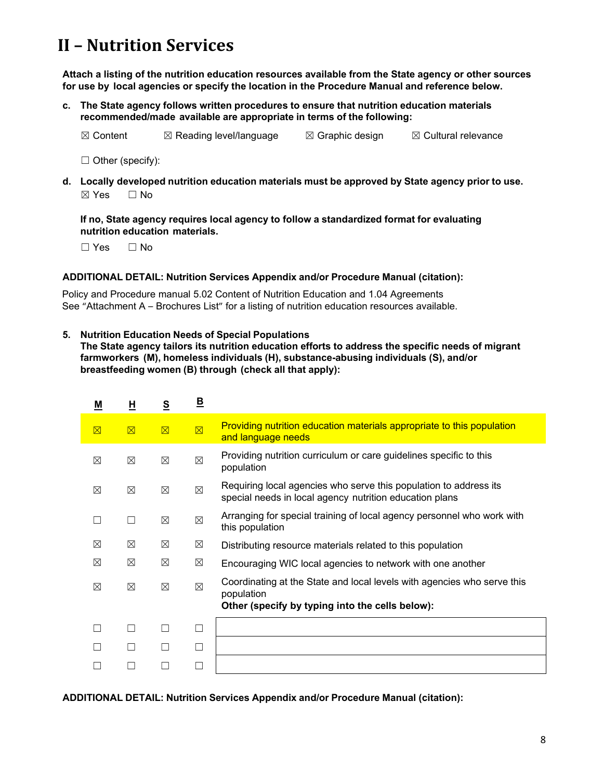**Attach a listing of the nutrition education resources available from the State agency or other sources for use by local agencies or specify the location in the Procedure Manual and reference below.**

**c. The State agency follows written procedures to ensure that nutrition education materials recommended/made available are appropriate in terms of the following:**

 $\boxtimes$  Content  $\boxtimes$  Reading level/language  $\boxtimes$  Graphic design  $\boxtimes$  Cultural relevance

 $\Box$  Other (specify):

**d. Locally developed nutrition education materials must be approved by State agency prior to use.** ☒ Yes ☐ No

**If no, State agency requires local agency to follow a standardized format for evaluating nutrition education materials.**

☐ Yes ☐ No

#### **ADDITIONAL DETAIL: Nutrition Services Appendix and/or Procedure Manual (citation):**

Policy and Procedure manual 5.02 Content of Nutrition Education and 1.04 Agreements See "Attachment A – Brochures List" for a listing of nutrition education resources available.

**5. Nutrition Education Needs of Special Populations**

**The State agency tailors its nutrition education efforts to address the specific needs of migrant farmworkers (M), homeless individuals (H), substance-abusing individuals (S), and/or breastfeeding women (B) through (check all that apply):**

| M           | 且           | $\underline{\underline{\mathsf{S}}}$ | $\mathbf{B}$ |                                                                                                                                          |
|-------------|-------------|--------------------------------------|--------------|------------------------------------------------------------------------------------------------------------------------------------------|
| $\boxtimes$ | $\boxtimes$ | $\overline{\boxtimes}$               | $\boxtimes$  | Providing nutrition education materials appropriate to this population<br>and language needs                                             |
| ⊠           | $\boxtimes$ | $\boxtimes$                          | $\boxtimes$  | Providing nutrition curriculum or care guidelines specific to this<br>population                                                         |
| ⊠           | ⊠           | ⊠                                    | $\boxtimes$  | Requiring local agencies who serve this population to address its<br>special needs in local agency nutrition education plans             |
| L.          | П           | ⊠                                    | $\boxtimes$  | Arranging for special training of local agency personnel who work with<br>this population                                                |
| ⊠           | ⊠           | $\boxtimes$                          | ⊠            | Distributing resource materials related to this population                                                                               |
| ⊠           | $\boxtimes$ | $\boxtimes$                          | ⊠            | Encouraging WIC local agencies to network with one another                                                                               |
| ⊠           | ⊠           | $\boxtimes$                          | $\boxtimes$  | Coordinating at the State and local levels with agencies who serve this<br>population<br>Other (specify by typing into the cells below): |
|             | П           | $\mathcal{L}$                        | □            |                                                                                                                                          |
|             |             |                                      | П            |                                                                                                                                          |
|             |             |                                      |              |                                                                                                                                          |

**ADDITIONAL DETAIL: Nutrition Services Appendix and/or Procedure Manual (citation):**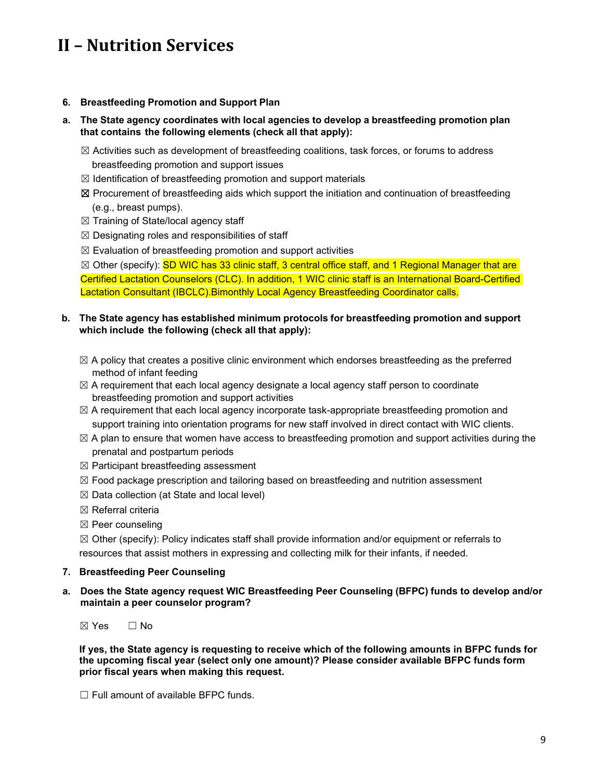### **6. Breastfeeding Promotion and Support Plan**

### **a. The State agency coordinates with local agencies to develop a breastfeeding promotion plan that contains the following elements (check all that apply):**

- $\boxtimes$  Activities such as development of breastfeeding coalitions, task forces, or forums to address breastfeeding promotion and support issues
- $\boxtimes$  Identification of breastfeeding promotion and support materials
- ☒ Procurement of breastfeeding aids which support the initiation and continuation of breastfeeding (e.g., breast pumps).
- $\boxtimes$  Training of State/local agency staff
- $\boxtimes$  Designating roles and responsibilities of staff
- $\boxtimes$  Evaluation of breastfeeding promotion and support activities

 $\boxtimes$  Other (specify): SD WIC has 33 clinic staff, 3 central office staff, and 1 Regional Manager that are Certified Lactation Counselors (CLC). In addition, 1 WIC clinic staff is an International Board-Certified Lactation Consultant (IBCLC).Bimonthly Local Agency Breastfeeding Coordinator calls.

### **b. The State agency has established minimum protocols for breastfeeding promotion and support which include the following (check all that apply):**

- $\boxtimes$  A policy that creates a positive clinic environment which endorses breastfeeding as the preferred method of infant feeding
- $\boxtimes$  A requirement that each local agency designate a local agency staff person to coordinate breastfeeding promotion and support activities
- $\boxtimes$  A requirement that each local agency incorporate task-appropriate breastfeeding promotion and support training into orientation programs for new staff involved in direct contact with WIC clients.
- $\boxtimes$  A plan to ensure that women have access to breastfeeding promotion and support activities during the prenatal and postpartum periods
- $\boxtimes$  Participant breastfeeding assessment
- $\boxtimes$  Food package prescription and tailoring based on breastfeeding and nutrition assessment
- $\boxtimes$  Data collection (at State and local level)
- ☒ Referral criteria
- ☒ Peer counseling

 $\boxtimes$  Other (specify): Policy indicates staff shall provide information and/or equipment or referrals to resources that assist mothers in expressing and collecting milk for their infants, if needed.

### **7. Breastfeeding Peer Counseling**

**a. Does the State agency request WIC Breastfeeding Peer Counseling (BFPC) funds to develop and/or maintain a peer counselor program?**

☒ Yes ☐ No

**If yes, the State agency is requesting to receive which of the following amounts in BFPC funds for the upcoming fiscal year (select only one amount)? Please consider available BFPC funds form prior fiscal years when making this request.**

☐ Full amount of available BFPC funds.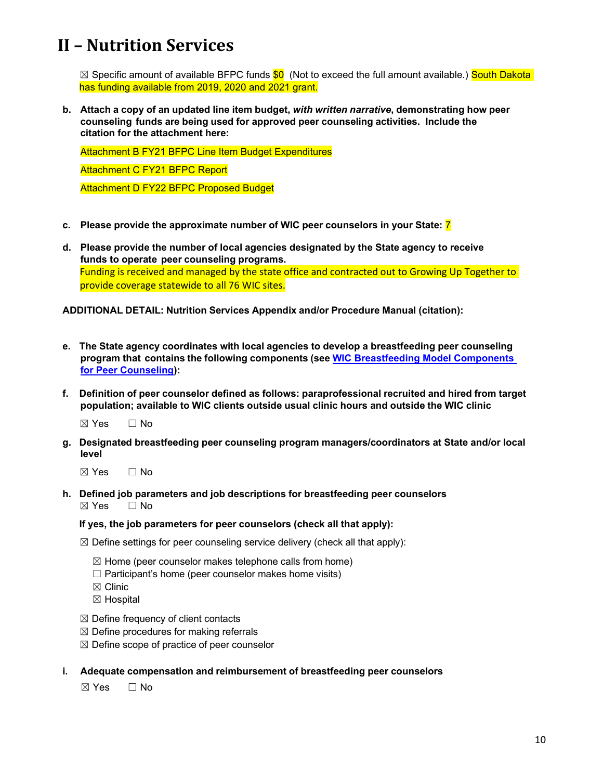$\boxtimes$  Specific amount of available BFPC funds  $\$0$  (Not to exceed the full amount available.) South Dakota has funding available from 2019, 2020 and 2021 grant.

**b. Attach a copy of an updated line item budget,** *with written narrative***, demonstrating how peer counseling funds are being used for approved peer counseling activities. Include the citation for the attachment here:**

Attachment B FY21 BFPC Line Item Budget Expenditures Attachment C FY21 BFPC Report Attachment D FY22 BFPC Proposed Budget

- **c. Please provide the approximate number of WIC peer counselors in your State:** 7
- **d. Please provide the number of local agencies designated by the State agency to receive funds to operate peer counseling programs.** Funding is received and managed by the state office and contracted out to Growing Up Together to provide coverage statewide to all 76 WIC sites.

**ADDITIONAL DETAIL: Nutrition Services Appendix and/or Procedure Manual (citation):**

- **e. The State agency coordinates with local agencies to develop a breastfeeding peer counseling program that contains the following components (see WIC Breastfeeding Model Components for Peer Counseling):**
- **f. Definition of peer counselor defined as follows: paraprofessional recruited and hired from target population; available to WIC clients outside usual clinic hours and outside the WIC clinic**

☒ Yes ☐ No

- **g. Designated breastfeeding peer counseling program managers/coordinators at State and/or local level**
	- ☒ Yes ☐ No
- **h. Defined job parameters and job descriptions for breastfeeding peer counselors** ☒ Yes ☐ No

#### **If yes, the job parameters for peer counselors (check all that apply):**

- $\boxtimes$  Define settings for peer counseling service delivery (check all that apply):
	- $\boxtimes$  Home (peer counselor makes telephone calls from home)
	- $\Box$  Participant's home (peer counselor makes home visits)
	- ☒ Clinic
	- ☒ Hospital
- $\boxtimes$  Define frequency of client contacts
- $\boxtimes$  Define procedures for making referrals
- $\boxtimes$  Define scope of practice of peer counselor
- **i. Adequate compensation and reimbursement of breastfeeding peer counselors**

☒ Yes ☐ No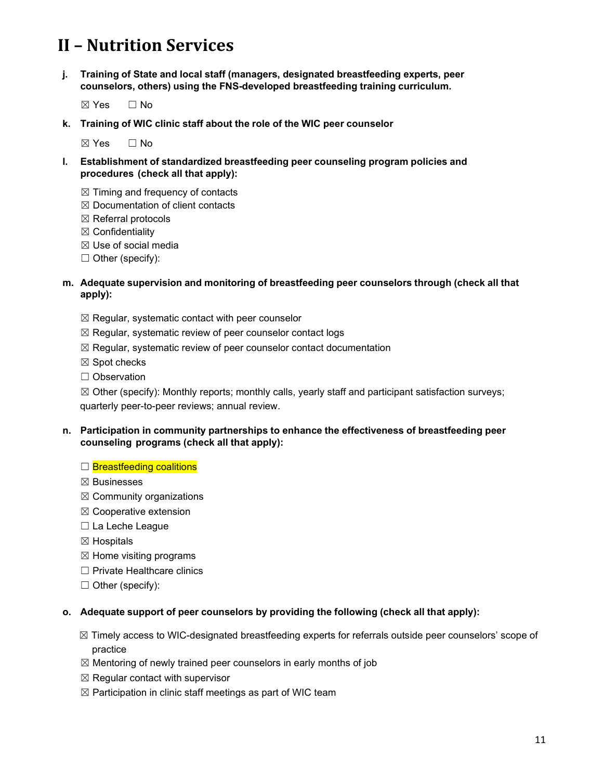- **j. Training of State and local staff (managers, designated breastfeeding experts, peer counselors, others) using the FNS-developed breastfeeding training curriculum.**
	- ☒ Yes ☐ No
- **k. Training of WIC clinic staff about the role of the WIC peer counselor**

 $\boxtimes$  Yes  $\Box$  No

- **l. Establishment of standardized breastfeeding peer counseling program policies and procedures (check all that apply):**
	- $\boxtimes$  Timing and frequency of contacts
	- ☒ Documentation of client contacts
	- ☒ Referral protocols
	- ☒ Confidentiality
	- ☒ Use of social media
	- $\Box$  Other (specify):

#### **m. Adequate supervision and monitoring of breastfeeding peer counselors through (check all that apply):**

- $\boxtimes$  Regular, systematic contact with peer counselor
- $\boxtimes$  Regular, systematic review of peer counselor contact logs
- ☒ Regular, systematic review of peer counselor contact documentation
- ☒ Spot checks
- ☐ Observation

 $\boxtimes$  Other (specify): Monthly reports; monthly calls, yearly staff and participant satisfaction surveys; quarterly peer-to-peer reviews; annual review.

### **n. Participation in community partnerships to enhance the effectiveness of breastfeeding peer counseling programs (check all that apply):**

#### □ Breastfeeding coalitions

- ☒ Businesses
- $\boxtimes$  Community organizations
- ☒ Cooperative extension
- ☐ La Leche League
- ☒ Hospitals
- $\boxtimes$  Home visiting programs
- ☐ Private Healthcare clinics
- $\Box$  Other (specify):

### **o. Adequate support of peer counselors by providing the following (check all that apply):**

- ☒ Timely access to WIC-designated breastfeeding experts for referrals outside peer counselors' scope of practice
- $\boxtimes$  Mentoring of newly trained peer counselors in early months of job
- $\boxtimes$  Regular contact with supervisor
- $\boxtimes$  Participation in clinic staff meetings as part of WIC team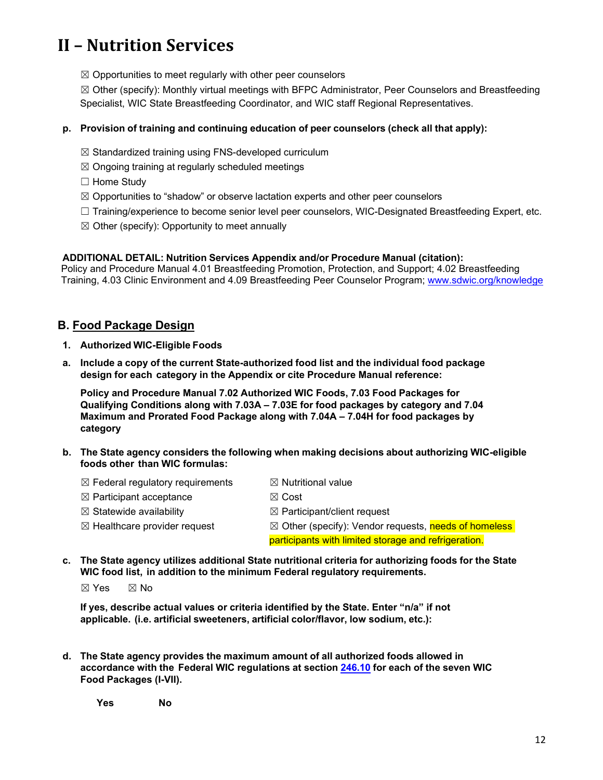$\boxtimes$  Opportunities to meet regularly with other peer counselors

☒ Other (specify): Monthly virtual meetings with BFPC Administrator, Peer Counselors and Breastfeeding Specialist, WIC State Breastfeeding Coordinator, and WIC staff Regional Representatives.

### **p. Provision of training and continuing education of peer counselors (check all that apply):**

- ☒ Standardized training using FNS-developed curriculum
- $\boxtimes$  Ongoing training at regularly scheduled meetings
- ☐ Home Study
- $\boxtimes$  Opportunities to "shadow" or observe lactation experts and other peer counselors
- □ Training/experience to become senior level peer counselors, WIC-Designated Breastfeeding Expert, etc.
- $\boxtimes$  Other (specify): Opportunity to meet annually

#### **ADDITIONAL DETAIL: Nutrition Services Appendix and/or Procedure Manual (citation):**

Policy and Procedure Manual 4.01 Breastfeeding Promotion, Protection, and Support; 4.02 Breastfeeding Training, 4.03 Clinic Environment and 4.09 Breastfeeding Peer Counselor Program; [www.sdwic.org/knowledge](http://www.sdwic.org/knowledge)

## <span id="page-11-0"></span>**B. Food Package Design**

- **1. Authorized WIC-Eligible Foods**
- **a. Include a copy of the current State-authorized food list and the individual food package design for each category in the Appendix or cite Procedure Manual reference:**

**Policy and Procedure Manual 7.02 Authorized WIC Foods, 7.03 Food Packages for Qualifying Conditions along with 7.03A – 7.03E for food packages by category and 7.04 Maximum and Prorated Food Package along with 7.04A – 7.04H for food packages by category**

- **b. The State agency considers the following when making decisions about authorizing WIC-eligible foods other than WIC formulas:**
	- $\boxtimes$  Federal regulatory requirements  $\boxtimes$  Nutritional value
	- $\boxtimes$  Participant acceptance  $\boxtimes$  Cost
	- $\boxtimes$  Statewide availability  $\boxtimes$  Participant/client request
	- $\boxtimes$  Healthcare provider request  $\boxtimes$  Other (specify): Vendor requests, needs of homeless participants with limited storage and refrigeration.
- **c. The State agency utilizes additional State nutritional criteria for authorizing foods for the State WIC food list, in addition to the minimum Federal regulatory requirements.**

 $\boxtimes$  Yes  $\boxtimes$  No

**If yes, describe actual values or criteria identified by the State. Enter "n/a" if not applicable. (i.e. artificial sweeteners, artificial color/flavor, low sodium, etc.):**

**d. The State agency provides the maximum amount of all authorized foods allowed in accordance with the Federal WIC regulations at section [246.10](https://ecfr.federalregister.gov/current/title-7/subtitle-B/chapter-II/subchapter-A/part-246#p-246.10(a)) for each of the seven WIC Food Packages (I-VII).**

**Yes No**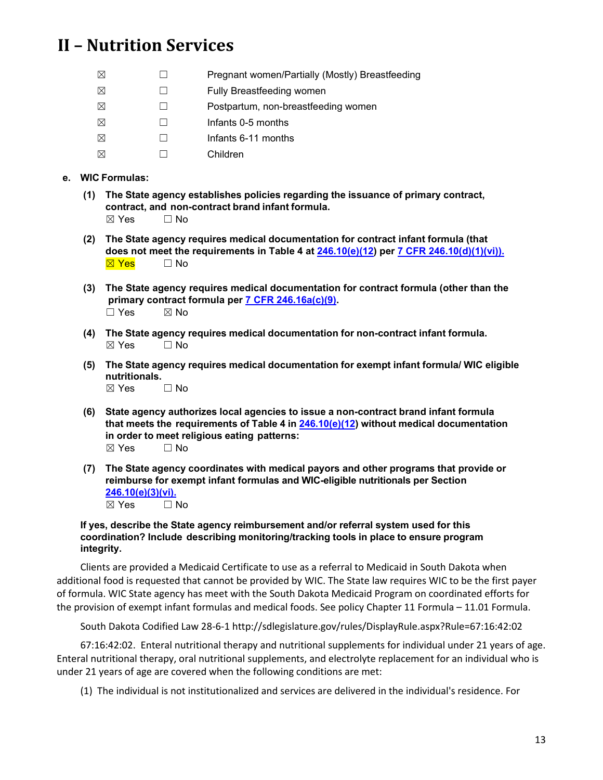| ⊠         | Pregnant women/Partially (Mostly) Breastfeeding |
|-----------|-------------------------------------------------|
| $\bowtie$ | <b>Fully Breastfeeding women</b>                |
| $\bowtie$ | Postpartum, non-breastfeeding women             |
| ⊠         | Infants 0-5 months                              |
| $\bowtie$ | Infants 6-11 months                             |
| $\bowtie$ | Children                                        |

## **e. WIC Formulas:**

- **(1) The State agency establishes policies regarding the issuance of primary contract, contract, and non-contract brand infant formula.**  $\boxtimes$  Yes  $\Box$  No
- **(2) The State agency requires medical documentation for contract infant formula (that does not meet the requirements in Table 4 at [246.10\(e\)\(12\)](https://ecfr.federalregister.gov/current/title-7/subtitle-B/chapter-II/subchapter-A/part-246#p-246.10(e)(12)) per [7 CFR 246.10\(d\)\(1\)\(vi\)\).](https://ecfr.federalregister.gov/current/title-7/subtitle-B/chapter-II/subchapter-A/part-246#p-246.10(d)(1)(vi))** ⊠ Yes □ No
- **(3) The State agency requires medical documentation for contract formula (other than the primary contract formula per [7 CFR 246.16a\(c\)\(9\).](https://ecfr.federalregister.gov/current/title-7/subtitle-B/chapter-II/subchapter-A/part-246#p-246.16a(c)(9))**  $\square$  Yes  $\square$  No
- **(4) The State agency requires medical documentation for non-contract infant formula.**  $\boxtimes$  Yes  $\Box$  No
- **(5) The State agency requires medical documentation for exempt infant formula/ WIC eligible nutritionals.**

 $\boxtimes$  Yes  $\Box$  No

- **(6) State agency authorizes local agencies to issue a non-contract brand infant formula that meets the requirements of Table 4 in [246.10\(e\)\(12\)](https://ecfr.federalregister.gov/current/title-7/subtitle-B/chapter-II/subchapter-A/part-246#p-246.10(e)(12)) without medical documentation in order to meet religious eating patterns:**  $\boxtimes$  Yes  $\Box$  No
- **(7) The State agency coordinates with medical payors and other programs that provide or reimburse for exempt infant formulas and WIC-eligible nutritionals per Section [246.10\(e\)\(3\)\(vi\).](https://ecfr.federalregister.gov/current/title-7/subtitle-B/chapter-II/subchapter-A/part-246#p-246.10(e)(3)(vi))** ☒ Yes ☐ No

#### **If yes, describe the State agency reimbursement and/or referral system used for this coordination? Include describing monitoring/tracking tools in place to ensure program integrity.**

Clients are provided a Medicaid Certificate to use as a referral to Medicaid in South Dakota when additional food is requested that cannot be provided by WIC. The State law requires WIC to be the first payer of formula. WIC State agency has meet with the South Dakota Medicaid Program on coordinated efforts for the provision of exempt infant formulas and medical foods. See policy Chapter 11 Formula – 11.01 Formula.

South Dakota Codified Law 28-6-1 http://sdlegislature.gov/rules/DisplayRule.aspx?Rule=67:16:42:02

67:16:42:02. Enteral nutritional therapy and nutritional supplements for individual under 21 years of age. Enteral nutritional therapy, oral nutritional supplements, and electrolyte replacement for an individual who is under 21 years of age are covered when the following conditions are met:

(1) The individual is not institutionalized and services are delivered in the individual's residence. For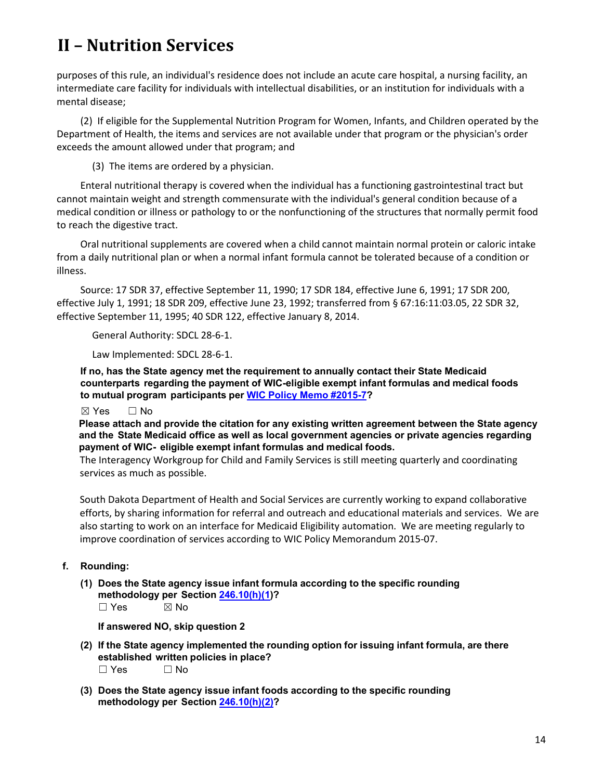purposes of this rule, an individual's residence does not include an acute care hospital, a nursing facility, an intermediate care facility for individuals with intellectual disabilities, or an institution for individuals with a mental disease;

(2) If eligible for the Supplemental Nutrition Program for Women, Infants, and Children operated by the Department of Health, the items and services are not available under that program or the physician's order exceeds the amount allowed under that program; and

(3) The items are ordered by a physician.

Enteral nutritional therapy is covered when the individual has a functioning gastrointestinal tract but cannot maintain weight and strength commensurate with the individual's general condition because of a medical condition or illness or pathology to or the nonfunctioning of the structures that normally permit food to reach the digestive tract.

Oral nutritional supplements are covered when a child cannot maintain normal protein or caloric intake from a daily nutritional plan or when a normal infant formula cannot be tolerated because of a condition or illness.

Source: 17 SDR 37, effective September 11, 1990; 17 SDR 184, effective June 6, 1991; 17 SDR 200, effective July 1, 1991; 18 SDR 209, effective June 23, 1992; transferred from § 67:16:11:03.05, 22 SDR 32, effective September 11, 1995; 40 SDR 122, effective January 8, 2014.

General Authority: SDCL 28-6-1.

Law Implemented: SDCL 28-6-1.

**If no, has the State agency met the requirement to annually contact their State Medicaid counterparts regarding the payment of WIC-eligible exempt infant formulas and medical foods to mutual program participants per WIC Policy Memo [#2015-7?](https://www.fns.usda.gov/sites/default/files/wic/WPM_2015-07_Medicaid-Primary-Payor-for-Exempt-Infant-Formulas-and-Medical-Foods-w-attachment.pdf)**

☒ Yes ☐ No

**Please attach and provide the citation for any existing written agreement between the State agency and the State Medicaid office as well as local government agencies or private agencies regarding payment of WIC- eligible exempt infant formulas and medical foods.**

The Interagency Workgroup for Child and Family Services is still meeting quarterly and coordinating services as much as possible.

South Dakota Department of Health and Social Services are currently working to expand collaborative efforts, by sharing information for referral and outreach and educational materials and services. We are also starting to work on an interface for Medicaid Eligibility automation. We are meeting regularly to improve coordination of services according to WIC Policy Memorandum 2015-07.

- **f. Rounding:**
	- **(1) Does the State agency issue infant formula according to the specific rounding methodology per Section [246.10\(h\)\(1\)](https://ecfr.federalregister.gov/current/title-7/subtitle-B/chapter-II/subchapter-A/part-246#p-246.10(h)(1))?**  $\square$  Yes  $\square$  No

**If answered NO, skip question 2**

- **(2) If the State agency implemented the rounding option for issuing infant formula, are there established written policies in place?** ☐ Yes ☐ No
- **(3) Does the State agency issue infant foods according to the specific rounding methodology per Section [246.10\(h\)\(2\)?](https://ecfr.federalregister.gov/current/title-7/subtitle-B/chapter-II/subchapter-A/part-246#p-246.10(h)(2)(i))**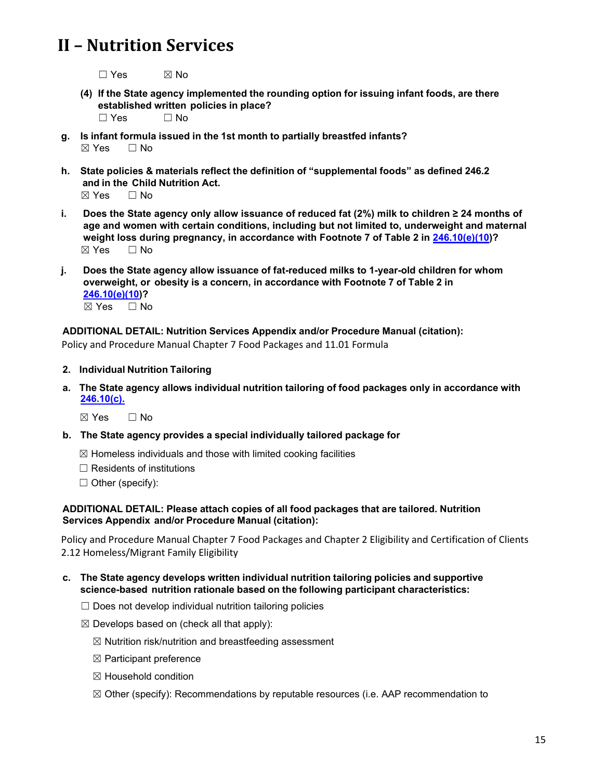$\square$  Yes  $\square$  No

- **(4) If the State agency implemented the rounding option for issuing infant foods, are there established written policies in place?**
	- $\Box$  Yes  $\Box$  No
- **g. Is infant formula issued in the 1st month to partially breastfed infants?**  $\boxtimes$  Yes  $\Box$  No
- **h. State policies & materials reflect the definition of "supplemental foods" as defined 246.2 and in the Child Nutrition Act.**

 $\boxtimes$  Yes  $\Box$  No

- **i. Does the State agency only allow issuance of reduced fat (2%) milk to children ≥ 24 months of age and women with certain conditions, including but not limited to, underweight and maternal weight loss during pregnancy, in accordance with Footnote 7 of Table 2 in [246.10\(e\)\(10\)](https://ecfr.federalregister.gov/current/title-7/subtitle-B/chapter-II/subchapter-A/part-246#p-246.10(e)(10))?** ☒ Yes ☐ No
- **j. Does the State agency allow issuance of fat-reduced milks to 1-year-old children for whom overweight, or obesity is a concern, in accordance with Footnote 7 of Table 2 in [246.10\(e\)\(10\)](https://ecfr.federalregister.gov/current/title-7/subtitle-B/chapter-II/subchapter-A/part-246#p-246.10(e)(10))?** ☒ Yes ☐ No

### **ADDITIONAL DETAIL: Nutrition Services Appendix and/or Procedure Manual (citation):**

Policy and Procedure Manual Chapter 7 Food Packages and 11.01 Formula

#### **2. Individual Nutrition Tailoring**

**a. The State agency allows individual nutrition tailoring of food packages only in accordance with [246.10\(c\).](https://ecfr.federalregister.gov/current/title-7/subtitle-B/chapter-II/subchapter-A/part-246#p-246.10(c))**

☒ Yes ☐ No

- **b. The State agency provides a special individually tailored package for**
	- $\boxtimes$  Homeless individuals and those with limited cooking facilities
	- $\Box$  Residents of institutions
	- $\Box$  Other (specify):

#### **ADDITIONAL DETAIL: Please attach copies of all food packages that are tailored. Nutrition Services Appendix and/or Procedure Manual (citation):**

Policy and Procedure Manual Chapter 7 Food Packages and Chapter 2 Eligibility and Certification of Clients 2.12 Homeless/Migrant Family Eligibility

- **c. The State agency develops written individual nutrition tailoring policies and supportive science-based nutrition rationale based on the following participant characteristics:**
	- $\Box$  Does not develop individual nutrition tailoring policies
	- $\boxtimes$  Develops based on (check all that apply):
		- $\boxtimes$  Nutrition risk/nutrition and breastfeeding assessment
		- $\boxtimes$  Participant preference
		- ☒ Household condition
		- $\boxtimes$  Other (specify): Recommendations by reputable resources (i.e. AAP recommendation to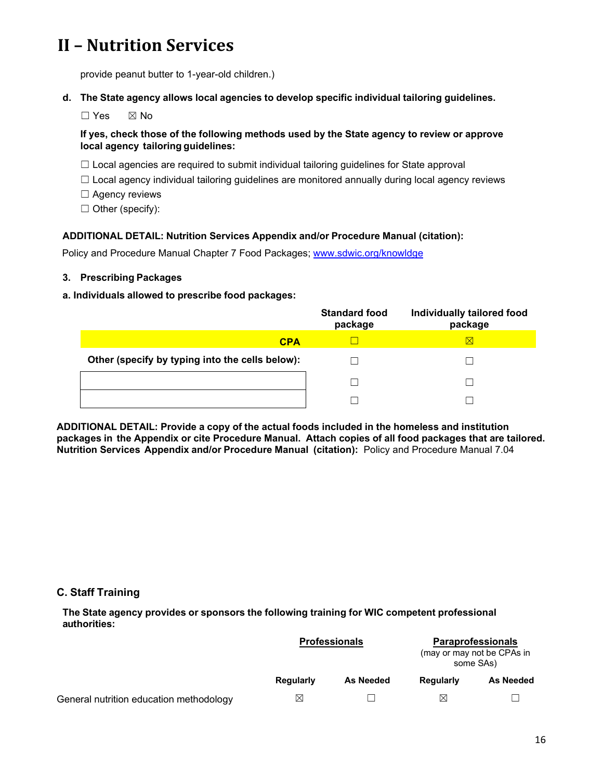provide peanut butter to 1-year-old children.)

**d. The State agency allows local agencies to develop specific individual tailoring guidelines.**

☐ Yes ☒ No

## **If yes, check those of the following methods used by the State agency to review or approve local agency tailoring guidelines:**

- $\Box$  Local agencies are required to submit individual tailoring guidelines for State approval
- $\Box$  Local agency individual tailoring guidelines are monitored annually during local agency reviews
- □ Agency reviews
- ☐ Other (specify):

### **ADDITIONAL DETAIL: Nutrition Services Appendix and/or Procedure Manual (citation):**

Policy and Procedure Manual Chapter 7 Food Packages; [www.sdwic.org/knowldge](http://www.sdwic.org/knowldge)

**3. Prescribing Packages**

#### **a. Individuals allowed to prescribe food packages:**

|                                                 | <b>Standard food</b><br>package | Individually tailored food<br>package |
|-------------------------------------------------|---------------------------------|---------------------------------------|
| <b>CPA</b>                                      |                                 | $\boxtimes$                           |
| Other (specify by typing into the cells below): |                                 |                                       |
|                                                 |                                 |                                       |
|                                                 |                                 |                                       |

<span id="page-15-0"></span>**ADDITIONAL DETAIL: Provide a copy of the actual foods included in the homeless and institution packages in the Appendix or cite Procedure Manual. Attach copies of all food packages that are tailored. Nutrition Services Appendix and/or Procedure Manual (citation):** Policy and Procedure Manual 7.04

### **C. Staff Training**

**The State agency provides or sponsors the following training for WIC competent professional authorities:**

|                                         |           | <b>Professionals</b> | <b>Paraprofessionals</b><br>(may or may not be CPAs in<br>some SAs) |           |
|-----------------------------------------|-----------|----------------------|---------------------------------------------------------------------|-----------|
|                                         | Regularly | <b>As Needed</b>     | Regularly                                                           | As Needed |
| General nutrition education methodology | ⊠         |                      | $\boxtimes$                                                         |           |